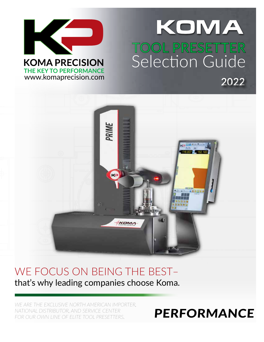

## KOMA .<br>1797 -**TOOL PRESETTER** Selection Guide A **2022**



## WE FOCUS ON BEING THE BEST– that's why leading companies choose Koma.

*WE ARE THE EXCLUSIVE NORTH AMERICAN IMPORTER, NATIONAL DISTRIBUTOR, AND SERVICE CENTER*  FOR OUR OWN LINE OF ELITE TOOL PRESETTERS.

## PERFORMANCE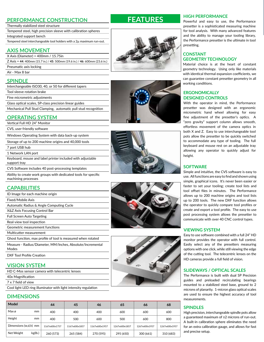#### **PERFORMANCE CONSTRUCTION**

| Thermally stabilized steel structure                                   |
|------------------------------------------------------------------------|
| Tempered steel, high precision sleeve with calibration spheres         |
| Integrated support bench                                               |
| Tempered steel interchangeable tool holders with a 2µ maximum run-out. |
|                                                                        |

#### **AXIS MOVEMENT**

| X Axis (Diameter) = $400$ mm / 15.75in                                      |
|-----------------------------------------------------------------------------|
| Z Axis = 44: 400mm (15.7 in.) / 45: 500mm (19.6 in.) / 46: 600mm (23.6 in.) |
| Pneumatic axis locking                                                      |
| Air - Max 8 bar                                                             |

#### **SPINDLE**

| Interchangeable ISO30, 40, or 50 for different tapers          |
|----------------------------------------------------------------|
| Tool sleeve rotation brake                                     |
| Fine micrometric adjustments                                   |
| Glass optical scales, SP-class precision linear guides         |
| Mechanical Pull Stud Clamping, automatic pull stud recognition |
|                                                                |

#### **OPERATING SYSTEM**

Vertical Full HD 24" Monitor

CVS, user friendly software

Windows Operating System with data back-up system

Storage of up to 200 machine origins and 40,000 tools

7 port USB hub

1 Network LAN port

Keyboard, mouse and label printer included with adjustable support tray

CVS Software includes 40 post-processing templates

Ability to create work groups with dedicated tools for specific machining processes

#### **CAPABILITIES**

| ID Image for each machine origin                                    |
|---------------------------------------------------------------------|
| Fixed/Mobile Axis                                                   |
| Automatic Radius & Angle Computing Cycle                            |
| X&Z Axis Focusing Control Bar                                       |
| <b>Full Screen Auto Targeting</b>                                   |
| Real-view tool inspection                                           |
| Geometric measurement functions                                     |
| Multicutter measurement                                             |
| Ghost function, max profile of tool is measured when rotated        |
| Measure - Radius/Diameter, MM/Inches, Absolute/Incremental<br>Modes |
| DXF Tool Profile Creation                                           |
|                                                                     |

#### **VISION SYSTEM**

| HD C-Mos sensor camera with telecentric lenses                  |
|-----------------------------------------------------------------|
| 40x Magnification                                               |
| 7 x 7 field of view                                             |
| Cool light LED ring illuminator with light intensity regulation |

#### **DIMENSIONS**

| Model                 |               | 44            | 45            | 46            | 65            | 66            | 68            | <b>SPIND</b>          |
|-----------------------|---------------|---------------|---------------|---------------|---------------|---------------|---------------|-----------------------|
| Max ø                 | <sub>mm</sub> | 400           | 400           | 400           | 600           | 600           | 600           | High pre              |
| Height                | mm            | 400           | 500           | 600           | 500           | 600           | 800           | a guaran<br>A built-i |
| Dimensions (w,d,h) mm |               | 1167x600x1757 | 1167x600x1857 | 1167x600x1957 | 1267x600x1857 | 1267x600x1957 | 1267x600x1957 | for an ex             |
| Net Weight            | kg(lb.)       | 260 (573)     | 265 (584)     | 270 (595)     | 295 (650)     | 300 (661)     | 310 (683)     | and pred              |

## **FEATURES**











#### **HIGH PERFORMANCE**

Powerful and easy to use, the Performance presetter is a sophisticated measuring machine for tool analysis. With many advanced features and the ability to manage your tooling library, the Performance presetter is the ultimate in tool presetting.

#### **CONSTANT GEOMETRY TECHNOLOGY**

Material choice is at the heart of constant geometry technology. Using only like materials with identical thermal expansion coefficients, we can guarantee constant presetter geometry in all working conditions.

#### **ERGONOMICALLY DESIGNED CONTROLS**

With the operator in mind, the Performance presetter was designed with an ergonomic micrometric hand wheel allowing for easy fine adjustment of the presetter's optics. A "zero gravity" support column allows smooth, effortless movement of the camera optics in both X and Z. Easy to use interchangeable tool pots allow the presetter to be quickly switched to accommodate any type of tooling. The full keyboard and mouse rest on an adjustable tray allowing any operator to quickly adjust for height.

#### **SOFTWARE**

Simple and intuitive, the CVS software is easy to use. All functions are easy to find and shown using simple, graphical icons. It's never been easier or faster to set your tooling; create tool lists and tool offset files in minutes. The Performance allows up to 200 machine origins and tool lists up to 200 tools. The new DXF function allows the operator to quickly compare tool profiles or create and export a tool profile. The easy to use post processing system allows the presetter to communicate with over 40 CNC control types.

#### **VIEWING SYSTEM**

Easy to use software combined with a full 24" HD monitor provides the operator with full control. Easily select any of the presetters measuring options with one click, while still viewing the edge of the cutting tool. The telecentric lenses on the HD cameras provide a full field of vision.

#### **SLIDEWAYS / OPTICAL SCALES**

The Performance is built with dual SP Precision guides and preloaded recirculating bearings mounted to a stabilized steel base, ground to 2 microns of planarity. 1-micron glass optical scales are used to ensure the highest accuracy of tool measurements.

#### **SPINDLES**

High precision, interchangeable spindle pots allow a guaranteed maximum of ±2 microns of run-out. A built-in calibration sphere eliminates the need for an extra calibration gauge, and allows for fast and precise setup.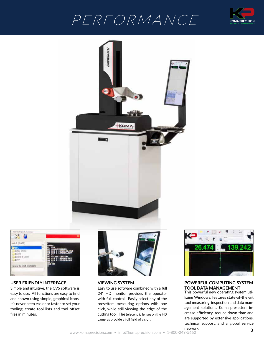

# PERFORMANCE **KOMA PRECISION**





#### **USER FRIENDLY INTERFACE**

Simple and intuitive, the CVS software is easy to use. All functions are easy to find and shown using simple, graphical icons. It's never been easier or faster to set your tooling; create tool lists and tool offset files in minutes.



#### **VIEWING SYSTEM**

Easy to use software combined with a full 24" HD monitor provides the operator with full control. Easily select any of the presetters measuring options with one click, while still viewing the edge of the cutting tool. The telecentric lenses on the HD cameras provide a full field of vision.



#### **POWERFUL COMPUTING SYSTEM TOOL DATA MANAGEMENT** This powerful new operating system uti-

lizing Windows, features state-of-the-art tool measuring, inspection and data management solutions. Koma presetters increase efficiency, reduce down time and are supported by extensive applications, technical support, and a global service network.